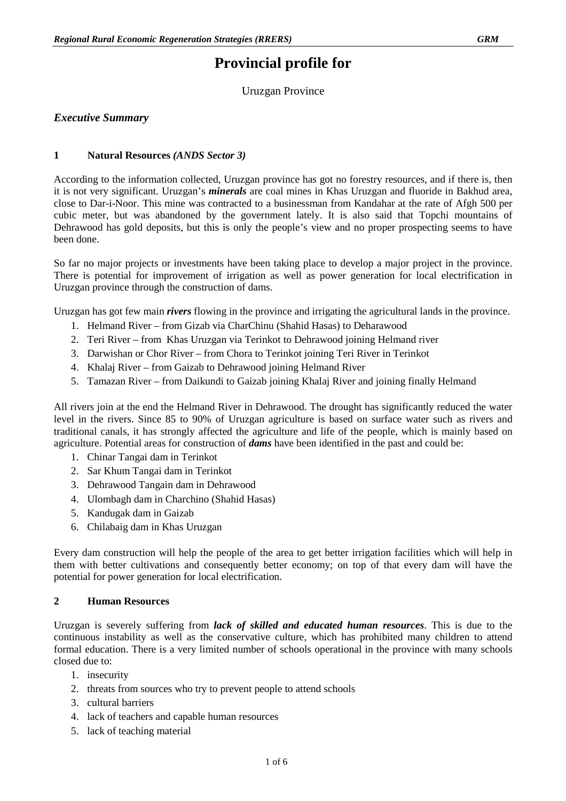# **Provincial profile for**

Uruzgan Province

# *Executive Summary*

## **1 Natural Resources** *(ANDS Sector 3)*

According to the information collected, Uruzgan province has got no forestry resources, and if there is, then it is not very significant. Uruzgan's *minerals* are coal mines in Khas Uruzgan and fluoride in Bakhud area, close to Dar-i-Noor. This mine was contracted to a businessman from Kandahar at the rate of Afgh 500 per cubic meter, but was abandoned by the government lately. It is also said that Topchi mountains of Dehrawood has gold deposits, but this is only the people's view and no proper prospecting seems to have been done.

So far no major projects or investments have been taking place to develop a major project in the province. There is potential for improvement of irrigation as well as power generation for local electrification in Uruzgan province through the construction of dams.

Uruzgan has got few main *rivers* flowing in the province and irrigating the agricultural lands in the province.

- 1. Helmand River from Gizab via CharChinu (Shahid Hasas) to Deharawood
- 2. Teri River from Khas Uruzgan via Terinkot to Dehrawood joining Helmand river
- 3. Darwishan or Chor River from Chora to Terinkot joining Teri River in Terinkot
- 4. Khalaj River from Gaizab to Dehrawood joining Helmand River
- 5. Tamazan River from Daikundi to Gaizab joining Khalaj River and joining finally Helmand

All rivers join at the end the Helmand River in Dehrawood. The drought has significantly reduced the water level in the rivers. Since 85 to 90% of Uruzgan agriculture is based on surface water such as rivers and traditional canals, it has strongly affected the agriculture and life of the people, which is mainly based on agriculture. Potential areas for construction of *dams* have been identified in the past and could be:

- 1. Chinar Tangai dam in Terinkot
- 2. Sar Khum Tangai dam in Terinkot
- 3. Dehrawood Tangain dam in Dehrawood
- 4. Ulombagh dam in Charchino (Shahid Hasas)
- 5. Kandugak dam in Gaizab
- 6. Chilabaig dam in Khas Uruzgan

Every dam construction will help the people of the area to get better irrigation facilities which will help in them with better cultivations and consequently better economy; on top of that every dam will have the potential for power generation for local electrification.

#### **2 Human Resources**

Uruzgan is severely suffering from *lack of skilled and educated human resources*. This is due to the continuous instability as well as the conservative culture, which has prohibited many children to attend formal education. There is a very limited number of schools operational in the province with many schools closed due to:

- 1. insecurity
- 2. threats from sources who try to prevent people to attend schools
- 3. cultural barriers
- 4. lack of teachers and capable human resources
- 5. lack of teaching material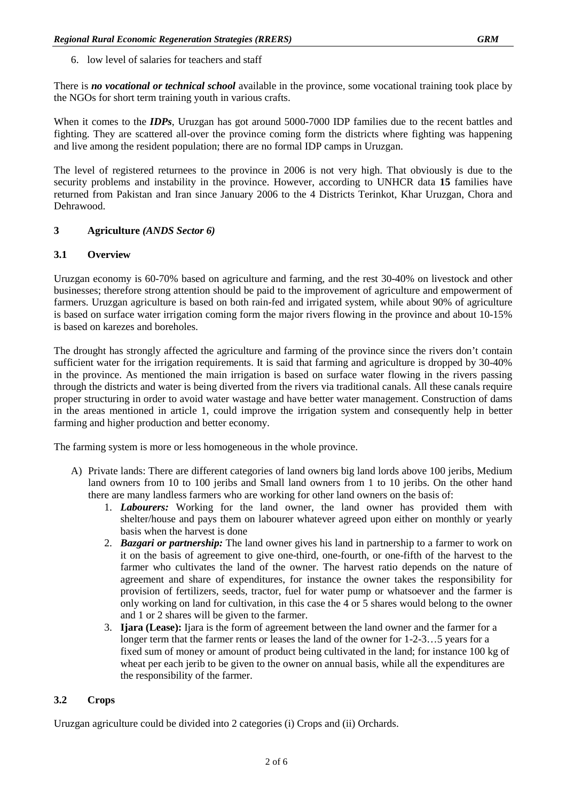6. low level of salaries for teachers and staff

There is *no vocational or technical school* available in the province, some vocational training took place by the NGOs for short term training youth in various crafts.

When it comes to the *IDPs*, Uruzgan has got around 5000-7000 IDP families due to the recent battles and fighting. They are scattered all-over the province coming form the districts where fighting was happening and live among the resident population; there are no formal IDP camps in Uruzgan.

The level of registered returnees to the province in 2006 is not very high. That obviously is due to the security problems and instability in the province. However, according to UNHCR data **15** families have returned from Pakistan and Iran since January 2006 to the 4 Districts Terinkot, Khar Uruzgan, Chora and Dehrawood.

## **3 Agriculture** *(ANDS Sector 6)*

## **3.1 Overview**

Uruzgan economy is 60-70% based on agriculture and farming, and the rest 30-40% on livestock and other businesses; therefore strong attention should be paid to the improvement of agriculture and empowerment of farmers. Uruzgan agriculture is based on both rain-fed and irrigated system, while about 90% of agriculture is based on surface water irrigation coming form the major rivers flowing in the province and about 10-15% is based on karezes and boreholes.

The drought has strongly affected the agriculture and farming of the province since the rivers don't contain sufficient water for the irrigation requirements. It is said that farming and agriculture is dropped by 30-40% in the province. As mentioned the main irrigation is based on surface water flowing in the rivers passing through the districts and water is being diverted from the rivers via traditional canals. All these canals require proper structuring in order to avoid water wastage and have better water management. Construction of dams in the areas mentioned in article 1, could improve the irrigation system and consequently help in better farming and higher production and better economy.

The farming system is more or less homogeneous in the whole province.

- A) Private lands: There are different categories of land owners big land lords above 100 jeribs, Medium land owners from 10 to 100 jeribs and Small land owners from 1 to 10 jeribs. On the other hand there are many landless farmers who are working for other land owners on the basis of:
	- 1. *Labourers:* Working for the land owner, the land owner has provided them with shelter/house and pays them on labourer whatever agreed upon either on monthly or yearly basis when the harvest is done
	- 2. *Bazgari or partnership:* The land owner gives his land in partnership to a farmer to work on it on the basis of agreement to give one-third, one-fourth, or one-fifth of the harvest to the farmer who cultivates the land of the owner. The harvest ratio depends on the nature of agreement and share of expenditures, for instance the owner takes the responsibility for provision of fertilizers, seeds, tractor, fuel for water pump or whatsoever and the farmer is only working on land for cultivation, in this case the 4 or 5 shares would belong to the owner and 1 or 2 shares will be given to the farmer.
	- 3. **Ijara (Lease):** Ijara is the form of agreement between the land owner and the farmer for a longer term that the farmer rents or leases the land of the owner for 1-2-3…5 years for a fixed sum of money or amount of product being cultivated in the land; for instance 100 kg of wheat per each jerib to be given to the owner on annual basis, while all the expenditures are the responsibility of the farmer.

# **3.2 Crops**

Uruzgan agriculture could be divided into 2 categories (i) Crops and (ii) Orchards.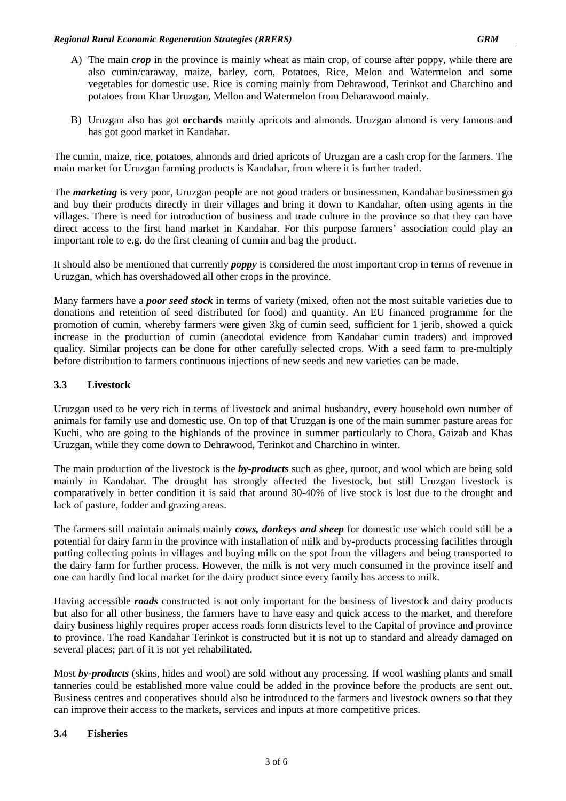- A) The main *crop* in the province is mainly wheat as main crop, of course after poppy, while there are also cumin/caraway, maize, barley, corn, Potatoes, Rice, Melon and Watermelon and some vegetables for domestic use. Rice is coming mainly from Dehrawood, Terinkot and Charchino and potatoes from Khar Uruzgan, Mellon and Watermelon from Deharawood mainly.
- B) Uruzgan also has got **orchards** mainly apricots and almonds. Uruzgan almond is very famous and has got good market in Kandahar.

The cumin, maize, rice, potatoes, almonds and dried apricots of Uruzgan are a cash crop for the farmers. The main market for Uruzgan farming products is Kandahar, from where it is further traded.

The *marketing* is very poor, Uruzgan people are not good traders or businessmen, Kandahar businessmen go and buy their products directly in their villages and bring it down to Kandahar, often using agents in the villages. There is need for introduction of business and trade culture in the province so that they can have direct access to the first hand market in Kandahar. For this purpose farmers' association could play an important role to e.g. do the first cleaning of cumin and bag the product.

It should also be mentioned that currently *poppy* is considered the most important crop in terms of revenue in Uruzgan, which has overshadowed all other crops in the province.

Many farmers have a *poor seed stock* in terms of variety (mixed, often not the most suitable varieties due to donations and retention of seed distributed for food) and quantity. An EU financed programme for the promotion of cumin, whereby farmers were given 3kg of cumin seed, sufficient for 1 jerib, showed a quick increase in the production of cumin (anecdotal evidence from Kandahar cumin traders) and improved quality. Similar projects can be done for other carefully selected crops. With a seed farm to pre-multiply before distribution to farmers continuous injections of new seeds and new varieties can be made.

# **3.3 Livestock**

Uruzgan used to be very rich in terms of livestock and animal husbandry, every household own number of animals for family use and domestic use. On top of that Uruzgan is one of the main summer pasture areas for Kuchi, who are going to the highlands of the province in summer particularly to Chora, Gaizab and Khas Uruzgan, while they come down to Dehrawood, Terinkot and Charchino in winter.

The main production of the livestock is the *by-products* such as ghee, quroot, and wool which are being sold mainly in Kandahar. The drought has strongly affected the livestock, but still Uruzgan livestock is comparatively in better condition it is said that around 30-40% of live stock is lost due to the drought and lack of pasture, fodder and grazing areas.

The farmers still maintain animals mainly *cows, donkeys and sheep* for domestic use which could still be a potential for dairy farm in the province with installation of milk and by-products processing facilities through putting collecting points in villages and buying milk on the spot from the villagers and being transported to the dairy farm for further process. However, the milk is not very much consumed in the province itself and one can hardly find local market for the dairy product since every family has access to milk.

Having accessible *roads* constructed is not only important for the business of livestock and dairy products but also for all other business, the farmers have to have easy and quick access to the market, and therefore dairy business highly requires proper access roads form districts level to the Capital of province and province to province. The road Kandahar Terinkot is constructed but it is not up to standard and already damaged on several places; part of it is not yet rehabilitated.

Most *by-products* (skins, hides and wool) are sold without any processing. If wool washing plants and small tanneries could be established more value could be added in the province before the products are sent out. Business centres and cooperatives should also be introduced to the farmers and livestock owners so that they can improve their access to the markets, services and inputs at more competitive prices.

#### **3.4 Fisheries**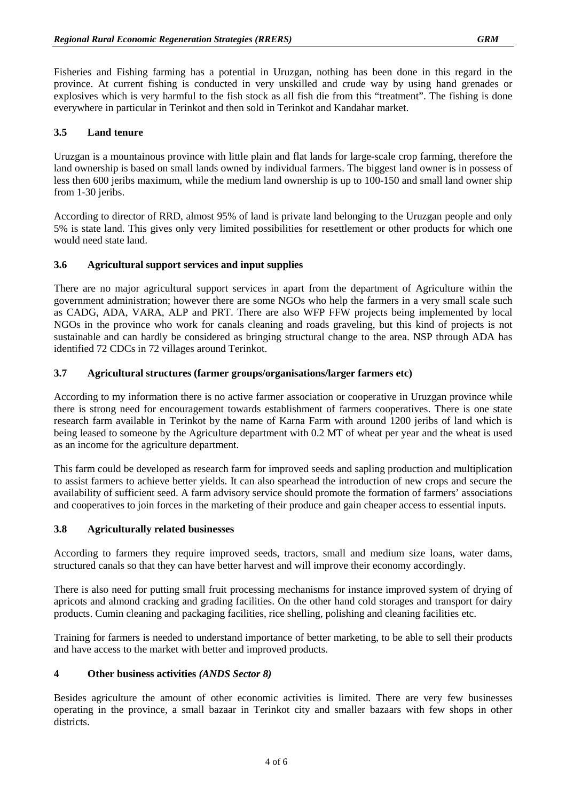Fisheries and Fishing farming has a potential in Uruzgan, nothing has been done in this regard in the province. At current fishing is conducted in very unskilled and crude way by using hand grenades or explosives which is very harmful to the fish stock as all fish die from this "treatment". The fishing is done everywhere in particular in Terinkot and then sold in Terinkot and Kandahar market.

# **3.5 Land tenure**

Uruzgan is a mountainous province with little plain and flat lands for large-scale crop farming, therefore the land ownership is based on small lands owned by individual farmers. The biggest land owner is in possess of less then 600 jeribs maximum, while the medium land ownership is up to 100-150 and small land owner ship from 1-30 jeribs.

According to director of RRD, almost 95% of land is private land belonging to the Uruzgan people and only 5% is state land. This gives only very limited possibilities for resettlement or other products for which one would need state land.

## **3.6 Agricultural support services and input supplies**

There are no major agricultural support services in apart from the department of Agriculture within the government administration; however there are some NGOs who help the farmers in a very small scale such as CADG, ADA, VARA, ALP and PRT. There are also WFP FFW projects being implemented by local NGOs in the province who work for canals cleaning and roads graveling, but this kind of projects is not sustainable and can hardly be considered as bringing structural change to the area. NSP through ADA has identified 72 CDCs in 72 villages around Terinkot.

## **3.7 Agricultural structures (farmer groups/organisations/larger farmers etc)**

According to my information there is no active farmer association or cooperative in Uruzgan province while there is strong need for encouragement towards establishment of farmers cooperatives. There is one state research farm available in Terinkot by the name of Karna Farm with around 1200 jeribs of land which is being leased to someone by the Agriculture department with 0.2 MT of wheat per year and the wheat is used as an income for the agriculture department.

This farm could be developed as research farm for improved seeds and sapling production and multiplication to assist farmers to achieve better yields. It can also spearhead the introduction of new crops and secure the availability of sufficient seed. A farm advisory service should promote the formation of farmers' associations and cooperatives to join forces in the marketing of their produce and gain cheaper access to essential inputs.

#### **3.8 Agriculturally related businesses**

According to farmers they require improved seeds, tractors, small and medium size loans, water dams, structured canals so that they can have better harvest and will improve their economy accordingly.

There is also need for putting small fruit processing mechanisms for instance improved system of drying of apricots and almond cracking and grading facilities. On the other hand cold storages and transport for dairy products. Cumin cleaning and packaging facilities, rice shelling, polishing and cleaning facilities etc.

Training for farmers is needed to understand importance of better marketing, to be able to sell their products and have access to the market with better and improved products.

#### **4 Other business activities** *(ANDS Sector 8)*

Besides agriculture the amount of other economic activities is limited. There are very few businesses operating in the province, a small bazaar in Terinkot city and smaller bazaars with few shops in other districts.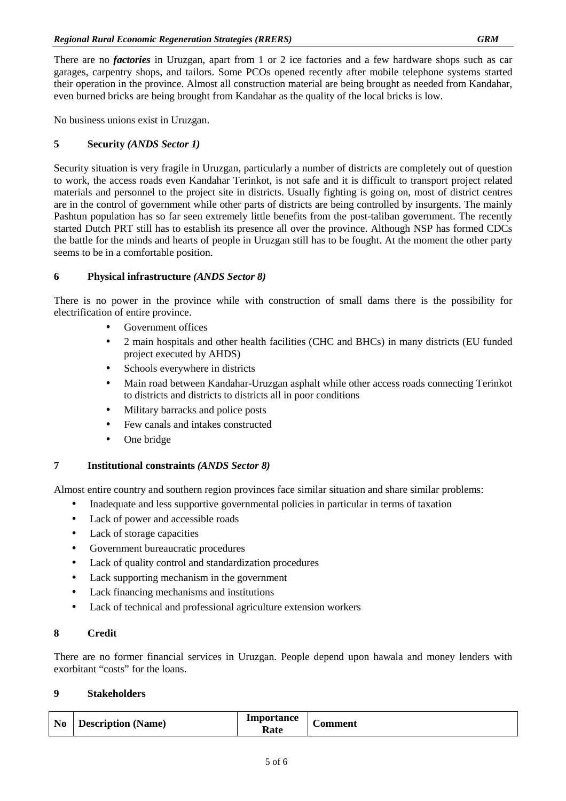There are no *factories* in Uruzgan, apart from 1 or 2 ice factories and a few hardware shops such as car garages, carpentry shops, and tailors. Some PCOs opened recently after mobile telephone systems started their operation in the province. Almost all construction material are being brought as needed from Kandahar, even burned bricks are being brought from Kandahar as the quality of the local bricks is low.

No business unions exist in Uruzgan.

# **5 Security** *(ANDS Sector 1)*

Security situation is very fragile in Uruzgan, particularly a number of districts are completely out of question to work, the access roads even Kandahar Terinkot, is not safe and it is difficult to transport project related materials and personnel to the project site in districts. Usually fighting is going on, most of district centres are in the control of government while other parts of districts are being controlled by insurgents. The mainly Pashtun population has so far seen extremely little benefits from the post-taliban government. The recently started Dutch PRT still has to establish its presence all over the province. Although NSP has formed CDCs the battle for the minds and hearts of people in Uruzgan still has to be fought. At the moment the other party seems to be in a comfortable position.

# **6 Physical infrastructure** *(ANDS Sector 8)*

There is no power in the province while with construction of small dams there is the possibility for electrification of entire province.

- Government offices
- 2 main hospitals and other health facilities (CHC and BHCs) in many districts (EU funded project executed by AHDS)
- Schools everywhere in districts
- Main road between Kandahar-Uruzgan asphalt while other access roads connecting Terinkot to districts and districts to districts all in poor conditions
- Military barracks and police posts
- Few canals and intakes constructed
- One bridge

# **7 Institutional constraints** *(ANDS Sector 8)*

Almost entire country and southern region provinces face similar situation and share similar problems:

- Inadequate and less supportive governmental policies in particular in terms of taxation
- Lack of power and accessible roads
- Lack of storage capacities
- Government bureaucratic procedures
- Lack of quality control and standardization procedures
- Lack supporting mechanism in the government
- Lack financing mechanisms and institutions
- Lack of technical and professional agriculture extension workers

# **8 Credit**

There are no former financial services in Uruzgan. People depend upon hawala and money lenders with exorbitant "costs" for the loans.

## **9 Stakeholders**

| N <sub>0</sub> | <b>Description</b> (Name) | Importance<br>Rate | -<br>.'omment |
|----------------|---------------------------|--------------------|---------------|
|----------------|---------------------------|--------------------|---------------|